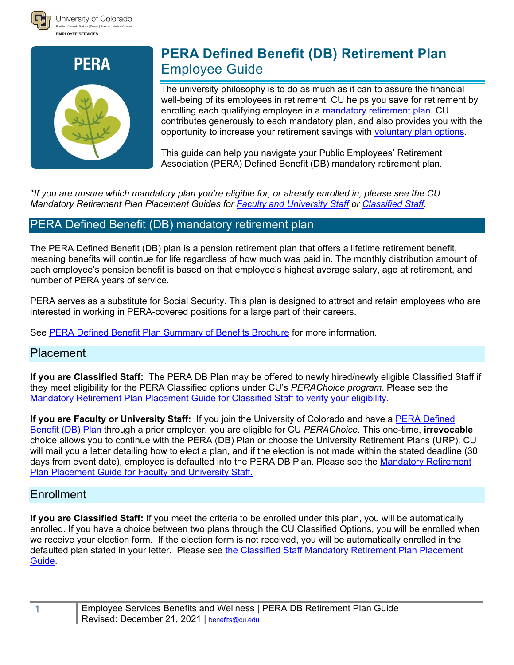



# **PERA Defined Benefit (DB) Retirement Plan** Employee Guide

The university philosophy is to do as much as it can to assure the financial well-being of its employees in retirement. CU helps you save for retirement by enrolling each qualifying employee in a [mandatory retirement plan.](http://www.cu.edu/node/153291) CU contributes generously to each mandatory plan, and also provides you with the opportunity to increase your retirement savings with [voluntary plan options.](https://www.cu.edu/employee-services/benefits-wellness/current-employee/retirement-plans/voluntary-retirement-savings)

This guide can help you navigate your Public Employees' Retirement Association (PERA) Defined Benefit (DB) mandatory retirement plan.

*\*If you are unsure which mandatory plan you're eligible for, or already enrolled in, please see the CU Mandatory Retirement Plan Placement Guides for [Faculty and University Staff](https://www.cu.edu/node/242790) or [Classified Staff.](https://www.cu.edu/node/242789)* 

# PERA Defined Benefit (DB) mandatory retirement plan

The PERA Defined Benefit (DB) plan is a pension retirement plan that offers a lifetime retirement benefit, meaning benefits will continue for life regardless of how much was paid in. The monthly distribution amount of each employee's pension benefit is based on that employee's highest average salary, age at retirement, and number of PERA years of service.

PERA serves as a substitute for Social Security. This plan is designed to attract and retain employees who are interested in working in PERA-covered positions for a large part of their careers.

See [PERA Defined Benefit Plan Summary of Benefits Brochure](https://www.copera.org/sites/default/files/documents/5-5.pdf) for more information.

# Placement

**If you are Classified Staff:** The PERA DB Plan may be offered to newly hired/newly eligible Classified Staff if they meet eligibility for the PERA Classified options under CU's *PERAChoice program*. Please see the [Mandatory Retirement Plan Placement Guide](https://www.cu.edu/node/242789) for Classified Staff to verify your eligibility.

**If you are Faculty or University Staff:** If you join the University of Colorado and have a [PERA Defined](https://www.copera.org/sites/default/files/documents/5-5.pdf)  [Benefit \(DB\) Plan](https://www.copera.org/sites/default/files/documents/5-5.pdf) through a prior employer, you are eligible for CU *PERAChoice*. This one-time, **irrevocable** choice allows you to continue with the PERA (DB) Plan or choose the University Retirement Plans (URP). CU will mail you a letter detailing how to elect a plan, and if the election is not made within the stated deadline (30 days from event date), employee is defaulted into the PERA DB Plan. Please see the [Mandatory Retirement](https://www.cu.edu/node/242790)  Plan Placement Guide [for Faculty and University Staff.](https://www.cu.edu/node/242790)

# **Enrollment**

**If you are Classified Staff:** If you meet the criteria to be enrolled under this plan, you will be automatically enrolled. If you have a choice between two plans through the CU Classified Options, you will be enrolled when we receive your election form. If the election form is not received, you will be automatically enrolled in the defaulted plan stated in your letter. Please see [the Classified Staff Mandatory Retirement Plan Placement](https://www.cu.edu/node/242789)  [Guide.](https://www.cu.edu/node/242789)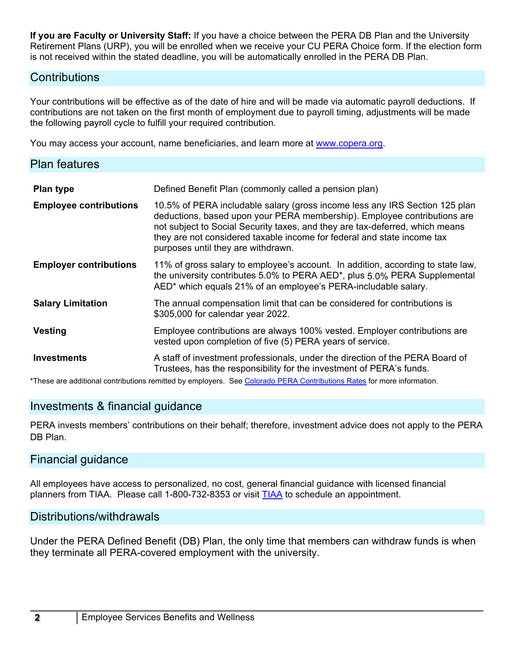**If you are Faculty or University Staff:** If you have a choice between the PERA DB Plan and the University Retirement Plans (URP), you will be enrolled when we receive your CU PERA Choice form. If the election form is not received within the stated deadline, you will be automatically enrolled in the PERA DB Plan.

## **Contributions**

Your contributions will be effective as of the date of hire and will be made via automatic payroll deductions. If contributions are not taken on the first month of employment due to payroll timing, adjustments will be made the following payroll cycle to fulfill your required contribution.

You may access your account, name beneficiaries, and learn more at [www.copera.org.](http://www.copera.org/)

| <b>Plan features</b>          |                                                                                                                                                                                                                                                                                                                                                          |  |
|-------------------------------|----------------------------------------------------------------------------------------------------------------------------------------------------------------------------------------------------------------------------------------------------------------------------------------------------------------------------------------------------------|--|
| Plan type                     | Defined Benefit Plan (commonly called a pension plan)                                                                                                                                                                                                                                                                                                    |  |
| <b>Employee contributions</b> | 10.5% of PERA includable salary (gross income less any IRS Section 125 plan<br>deductions, based upon your PERA membership). Employee contributions are<br>not subject to Social Security taxes, and they are tax-deferred, which means<br>they are not considered taxable income for federal and state income tax<br>purposes until they are withdrawn. |  |
| <b>Employer contributions</b> | 11% of gross salary to employee's account. In addition, according to state law,<br>the university contributes 5.0% to PERA AED*, plus 5.0% PERA Supplemental<br>AED* which equals 21% of an employee's PERA-includable salary.                                                                                                                           |  |
| <b>Salary Limitation</b>      | The annual compensation limit that can be considered for contributions is<br>\$305,000 for calendar year 2022.                                                                                                                                                                                                                                           |  |
| <b>Vesting</b>                | Employee contributions are always 100% vested. Employer contributions are<br>vested upon completion of five (5) PERA years of service.                                                                                                                                                                                                                   |  |
| <b>Investments</b>            | A staff of investment professionals, under the direction of the PERA Board of<br>Trustees, has the responsibility for the investment of PERA's funds.                                                                                                                                                                                                    |  |

\*These are additional contributions remitted by employers. Se[e Colorado PERA Contributions Rates](https://www.copera.org/sites/default/files/documents/5-123.pdf) for more information.

# Investments & financial guidance

PERA invests members' contributions on their behalf; therefore, investment advice does not apply to the PERA DB Plan.

#### Financial guidance

All employees have access to personalized, no cost, general financial guidance with licensed financial planners from [TIAA](http://www.cu.edu/node/153433). Please call 1-800-732-8353 or visit TIAA to schedule an appointment.

#### Distributions/withdrawals

Under the PERA Defined Benefit (DB) Plan, the only time that members can withdraw funds is when they terminate all PERA-covered employment with the university.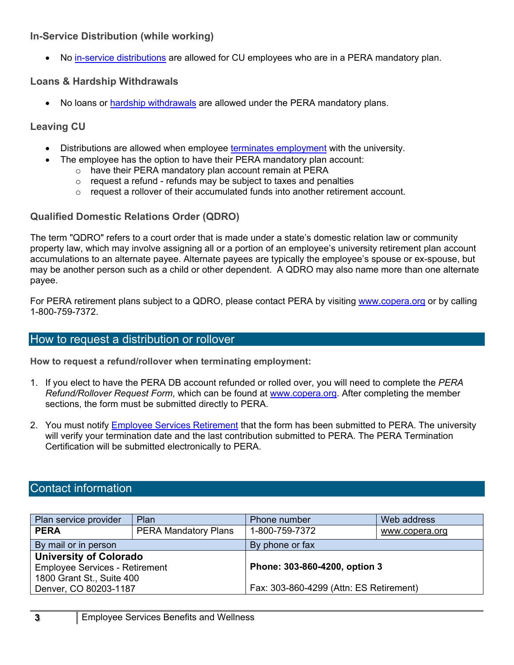#### **In-Service Distribution (while working)**

• No [in-service distributions](#page-3-0) are allowed for CU employees who are in a PERA mandatory plan.

## **Loans & Hardship Withdrawals**

• No loans or [hardship withdrawals](#page-3-1) are allowed under the PERA mandatory plans.

## **Leaving CU**

- Distributions are allowed when employee [terminates employment](#page-3-1) with the university.
	- The employee has the option to have their PERA mandatory plan account:
		- o have their PERA mandatory plan account remain at PERA
		- $\circ$  request a refund refunds may be subject to taxes and penalties
		- $\circ$  request a rollover of their accumulated funds into another retirement account.

## **Qualified Domestic Relations Order (QDRO)**

The term "QDRO" refers to a court order that is made under a state's domestic relation law or community property law, which may involve assigning all or a portion of an employee's university retirement plan account accumulations to an alternate payee. Alternate payees are typically the employee's spouse or ex-spouse, but may be another person such as a child or other dependent. A QDRO may also name more than one alternate payee.

For PERA retirement plans subject to a QDRO, please contact PERA by visiting [www.copera.org](http://www.copera.org/) or by calling 1-800-759-7372.

# How to request a distribution or rollover

**How to request a refund/rollover when terminating employment:**

- 1. If you elect to have the PERA DB account refunded or rolled over, you will need to complete the *PERA Refund/Rollover Request Form*, which can be found at [www.copera.org.](http://www.copera.org/) After completing the member sections, the form must be submitted directly to PERA.
- 2. You must notify **Employee Services Retirement** that the form has been submitted to PERA. The university will verify your termination date and the last contribution submitted to PERA. The PERA Termination Certification will be submitted electronically to PERA.

# Contact information

| Plan service provider                 | Plan                        | Phone number                            | Web address    |
|---------------------------------------|-----------------------------|-----------------------------------------|----------------|
| <b>PERA</b>                           | <b>PERA Mandatory Plans</b> | 1-800-759-7372                          | www.copera.org |
| By mail or in person                  |                             | By phone or fax                         |                |
| <b>University of Colorado</b>         |                             | Phone: 303-860-4200, option 3           |                |
| <b>Employee Services - Retirement</b> |                             |                                         |                |
| 1800 Grant St., Suite 400             |                             |                                         |                |
| Denver, CO 80203-1187                 |                             | Fax: 303-860-4299 (Attn: ES Retirement) |                |